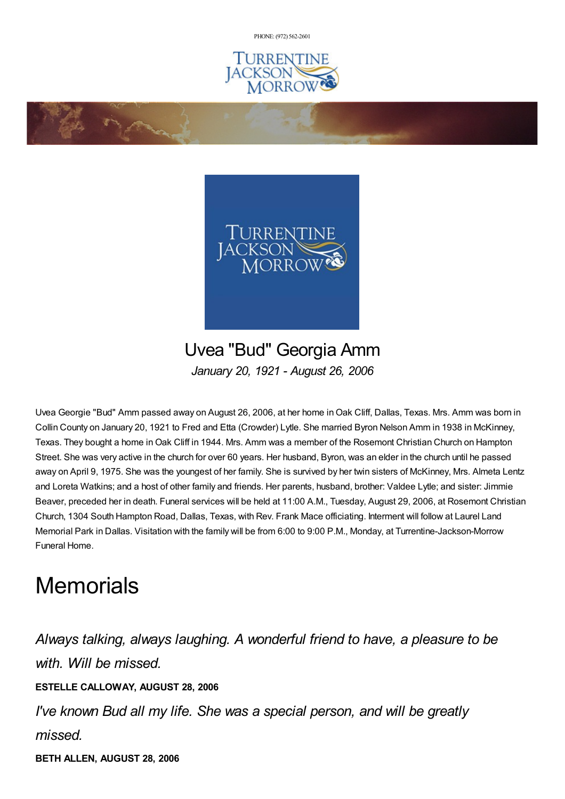PHONE: (972) [562-2601](tel:(972) 562-2601)





Uvea "Bud" Georgia Amm *January 20, 1921 - August 26, 2006*

Uvea Georgie "Bud" Amm passed away on August 26, 2006, at her home inOak Cliff, Dallas, Texas. Mrs. Amm was born in Collin County on January 20, 1921 to Fred and Etta (Crowder) Lytle. She married Byron Nelson Amm in 1938 in McKinney, Texas. They bought a home inOak Cliff in 1944. Mrs. Amm was a member of the Rosemont Christian Church on Hampton Street. She was very active in the church for over 60 years. Her husband, Byron, was an elder in the church until he passed away on April 9, 1975. She was the youngest of her family. She is survived by her twin sisters of McKinney, Mrs. Almeta Lentz and Loreta Watkins; and a host of other family and friends. Her parents, husband, brother: Valdee Lytle; and sister: Jimmie Beaver, preceded her in death. Funeral services will be held at 11:00 A.M., Tuesday, August 29, 2006, at Rosemont Christian Church, 1304 South Hampton Road, Dallas, Texas, with Rev. Frank Mace officiating. Interment will follow at Laurel Land Memorial Park in Dallas. Visitation with the family will be from 6:00 to 9:00 P.M., Monday, at Turrentine-Jackson-Morrow Funeral Home.

## **Memorials**

**Contractions** 

*Always talking, always laughing. A wonderful friend to have, a pleasure to be with. Will be missed.* **ESTELLE CALLOWAY, AUGUST 28, 2006** *I've known Bud all my life. She was a special person, and will be greatly missed.*

**BETH ALLEN, AUGUST 28, 2006**